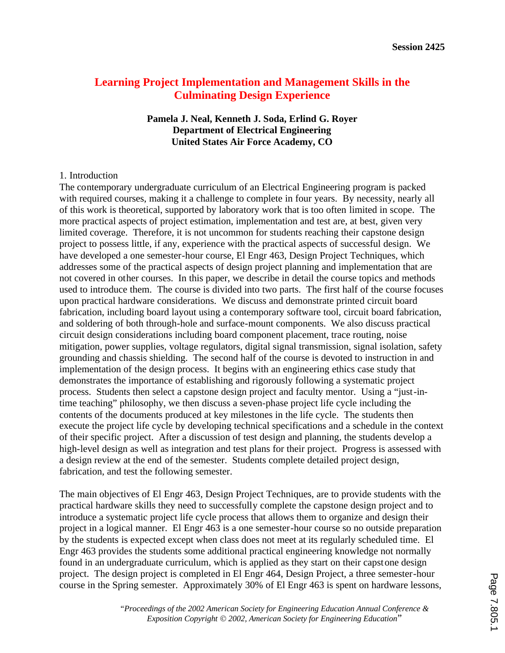# **Learning Project Implementation and Management Skills in the Culminating Design Experience**

#### **Pamela J. Neal, Kenneth J. Soda, Erlind G. Royer Department of Electrical Engineering United States Air Force Academy, CO**

#### 1. Introduction

The contemporary undergraduate curriculum of an Electrical Engineering program is packed with required courses, making it a challenge to complete in four years. By necessity, nearly all of this work is theoretical, supported by laboratory work that is too often limited in scope. The more practical aspects of project estimation, implementation and test are, at best, given very limited coverage. Therefore, it is not uncommon for students reaching their capstone design project to possess little, if any, experience with the practical aspects of successful design. We have developed a one semester-hour course, El Engr 463, Design Project Techniques, which addresses some of the practical aspects of design project planning and implementation that are not covered in other courses. In this paper, we describe in detail the course topics and methods used to introduce them. The course is divided into two parts. The first half of the course focuses upon practical hardware considerations. We discuss and demonstrate printed circuit board fabrication, including board layout using a contemporary software tool, circuit board fabrication, and soldering of both through-hole and surface-mount components. We also discuss practical circuit design considerations including board component placement, trace routing, noise mitigation, power supplies, voltage regulators, digital signal transmission, signal isolation, safety grounding and chassis shielding. The second half of the course is devoted to instruction in and implementation of the design process. It begins with an engineering ethics case study that demonstrates the importance of establishing and rigorously following a systematic project process. Students then select a capstone design project and faculty mentor. Using a "just-intime teaching" philosophy, we then discuss a seven-phase project life cycle including the contents of the documents produced at key milestones in the life cycle. The students then execute the project life cycle by developing technical specifications and a schedule in the context of their specific project. After a discussion of test design and planning, the students develop a high-level design as well as integration and test plans for their project. Progress is assessed with a design review at the end of the semester. Students complete detailed project design, fabrication, and test the following semester.

The main objectives of El Engr 463, Design Project Techniques, are to provide students with the practical hardware skills they need to successfully complete the capstone design project and to introduce a systematic project life cycle process that allows them to organize and design their project in a logical manner. El Engr 463 is a one semester-hour course so no outside preparation by the students is expected except when class does not meet at its regularly scheduled time. El Engr 463 provides the students some additional practical engineering knowledge not normally found in an undergraduate curriculum, which is applied as they start on their capstone design project. The design project is completed in El Engr 464, Design Project, a three semester-hour course in the Spring semester. Approximately 30% of El Engr 463 is spent on hardware lessons,

> *"Proceedings of the 2002 American Society for Engineering Education Annual Conference & Exposition Copyright* Ó *2002, American Society for Engineering Education*"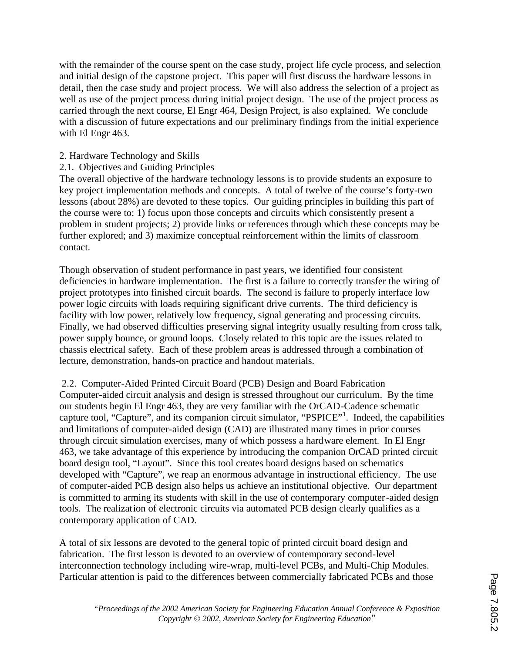with the remainder of the course spent on the case study, project life cycle process, and selection and initial design of the capstone project. This paper will first discuss the hardware lessons in detail, then the case study and project process. We will also address the selection of a project as well as use of the project process during initial project design. The use of the project process as carried through the next course, El Engr 464, Design Project, is also explained. We conclude with a discussion of future expectations and our preliminary findings from the initial experience with El Engr 463.

# 2. Hardware Technology and Skills

2.1. Objectives and Guiding Principles

The overall objective of the hardware technology lessons is to provide students an exposure to key project implementation methods and concepts. A total of twelve of the course's forty-two lessons (about 28%) are devoted to these topics. Our guiding principles in building this part of the course were to: 1) focus upon those concepts and circuits which consistently present a problem in student projects; 2) provide links or references through which these concepts may be further explored; and 3) maximize conceptual reinforcement within the limits of classroom contact.

Though observation of student performance in past years, we identified four consistent deficiencies in hardware implementation. The first is a failure to correctly transfer the wiring of project prototypes into finished circuit boards. The second is failure to properly interface low power logic circuits with loads requiring significant drive currents. The third deficiency is facility with low power, relatively low frequency, signal generating and processing circuits. Finally, we had observed difficulties preserving signal integrity usually resulting from cross talk, power supply bounce, or ground loops. Closely related to this topic are the issues related to chassis electrical safety. Each of these problem areas is addressed through a combination of lecture, demonstration, hands-on practice and handout materials.

 2.2. Computer-Aided Printed Circuit Board (PCB) Design and Board Fabrication Computer-aided circuit analysis and design is stressed throughout our curriculum. By the time our students begin El Engr 463, they are very familiar with the OrCAD-Cadence schematic capture tool, "Capture", and its companion circuit simulator, "PSPICE"<sup>1</sup>. Indeed, the capabilities and limitations of computer-aided design (CAD) are illustrated many times in prior courses through circuit simulation exercises, many of which possess a hardware element. In El Engr 463, we take advantage of this experience by introducing the companion OrCAD printed circuit board design tool, "Layout". Since this tool creates board designs based on schematics developed with "Capture", we reap an enormous advantage in instructional efficiency. The use of computer-aided PCB design also helps us achieve an institutional objective. Our department is committed to arming its students with skill in the use of contemporary computer-aided design tools. The realization of electronic circuits via automated PCB design clearly qualifies as a contemporary application of CAD.

A total of six lessons are devoted to the general topic of printed circuit board design and fabrication. The first lesson is devoted to an overview of contemporary second-level interconnection technology including wire-wrap, multi-level PCBs, and Multi-Chip Modules. Particular attention is paid to the differences between commercially fabricated PCBs and those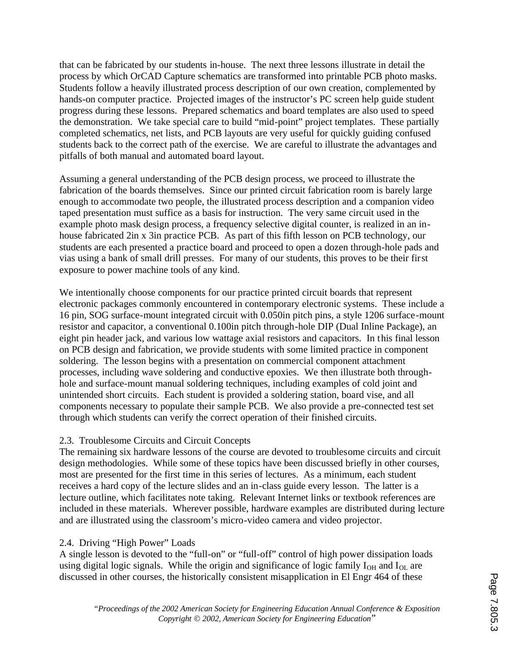that can be fabricated by our students in-house. The next three lessons illustrate in detail the process by which OrCAD Capture schematics are transformed into printable PCB photo masks. Students follow a heavily illustrated process description of our own creation, complemented by hands-on computer practice. Projected images of the instructor's PC screen help guide student progress during these lessons. Prepared schematics and board templates are also used to speed the demonstration. We take special care to build "mid-point" project templates. These partially completed schematics, net lists, and PCB layouts are very useful for quickly guiding confused students back to the correct path of the exercise. We are careful to illustrate the advantages and pitfalls of both manual and automated board layout.

Assuming a general understanding of the PCB design process, we proceed to illustrate the fabrication of the boards themselves. Since our printed circuit fabrication room is barely large enough to accommodate two people, the illustrated process description and a companion video taped presentation must suffice as a basis for instruction. The very same circuit used in the example photo mask design process, a frequency selective digital counter, is realized in an inhouse fabricated 2in x 3in practice PCB. As part of this fifth lesson on PCB technology, our students are each presented a practice board and proceed to open a dozen through-hole pads and vias using a bank of small drill presses. For many of our students, this proves to be their first exposure to power machine tools of any kind.

We intentionally choose components for our practice printed circuit boards that represent electronic packages commonly encountered in contemporary electronic systems. These include a 16 pin, SOG surface-mount integrated circuit with 0.050in pitch pins, a style 1206 surface-mount resistor and capacitor, a conventional 0.100in pitch through-hole DIP (Dual Inline Package), an eight pin header jack, and various low wattage axial resistors and capacitors. In this final lesson on PCB design and fabrication, we provide students with some limited practice in component soldering. The lesson begins with a presentation on commercial component attachment processes, including wave soldering and conductive epoxies. We then illustrate both throughhole and surface-mount manual soldering techniques, including examples of cold joint and unintended short circuits. Each student is provided a soldering station, board vise, and all components necessary to populate their sample PCB. We also provide a pre-connected test set through which students can verify the correct operation of their finished circuits.

# 2.3. Troublesome Circuits and Circuit Concepts

The remaining six hardware lessons of the course are devoted to troublesome circuits and circuit design methodologies. While some of these topics have been discussed briefly in other courses, most are presented for the first time in this series of lectures. As a minimum, each student receives a hard copy of the lecture slides and an in-class guide every lesson. The latter is a lecture outline, which facilitates note taking. Relevant Internet links or textbook references are included in these materials. Wherever possible, hardware examples are distributed during lecture and are illustrated using the classroom's micro-video camera and video projector.

# 2.4. Driving "High Power" Loads

A single lesson is devoted to the "full-on" or "full-off" control of high power dissipation loads using digital logic signals. While the origin and significance of logic family  $I_{OH}$  and  $I_{OL}$  are discussed in other courses, the historically consistent misapplication in El Engr 464 of these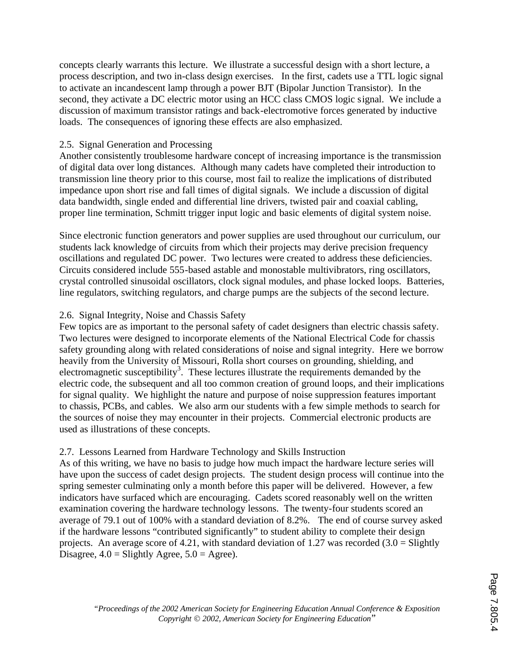concepts clearly warrants this lecture. We illustrate a successful design with a short lecture, a process description, and two in-class design exercises. In the first, cadets use a TTL logic signal to activate an incandescent lamp through a power BJT (Bipolar Junction Transistor). In the second, they activate a DC electric motor using an HCC class CMOS logic signal. We include a discussion of maximum transistor ratings and back-electromotive forces generated by inductive loads. The consequences of ignoring these effects are also emphasized.

## 2.5. Signal Generation and Processing

Another consistently troublesome hardware concept of increasing importance is the transmission of digital data over long distances. Although many cadets have completed their introduction to transmission line theory prior to this course, most fail to realize the implications of distributed impedance upon short rise and fall times of digital signals. We include a discussion of digital data bandwidth, single ended and differential line drivers, twisted pair and coaxial cabling, proper line termination, Schmitt trigger input logic and basic elements of digital system noise.

Since electronic function generators and power supplies are used throughout our curriculum, our students lack knowledge of circuits from which their projects may derive precision frequency oscillations and regulated DC power. Two lectures were created to address these deficiencies. Circuits considered include 555-based astable and monostable multivibrators, ring oscillators, crystal controlled sinusoidal oscillators, clock signal modules, and phase locked loops. Batteries, line regulators, switching regulators, and charge pumps are the subjects of the second lecture.

### 2.6. Signal Integrity, Noise and Chassis Safety

Few topics are as important to the personal safety of cadet designers than electric chassis safety. Two lectures were designed to incorporate elements of the National Electrical Code for chassis safety grounding along with related considerations of noise and signal integrity. Here we borrow heavily from the University of Missouri, Rolla short courses on grounding, shielding, and electromagnetic susceptibility<sup>3</sup>. These lectures illustrate the requirements demanded by the electric code, the subsequent and all too common creation of ground loops, and their implications for signal quality. We highlight the nature and purpose of noise suppression features important to chassis, PCBs, and cables. We also arm our students with a few simple methods to search for the sources of noise they may encounter in their projects. Commercial electronic products are used as illustrations of these concepts.

# 2.7. Lessons Learned from Hardware Technology and Skills Instruction

As of this writing, we have no basis to judge how much impact the hardware lecture series will have upon the success of cadet design projects. The student design process will continue into the spring semester culminating only a month before this paper will be delivered. However, a few indicators have surfaced which are encouraging. Cadets scored reasonably well on the written examination covering the hardware technology lessons. The twenty-four students scored an average of 79.1 out of 100% with a standard deviation of 8.2%. The end of course survey asked if the hardware lessons "contributed significantly" to student ability to complete their design projects. An average score of 4.21, with standard deviation of 1.27 was recorded  $(3.0 = S$ lightly Disagree,  $4.0 =$  Slightly Agree,  $5.0 =$  Agree).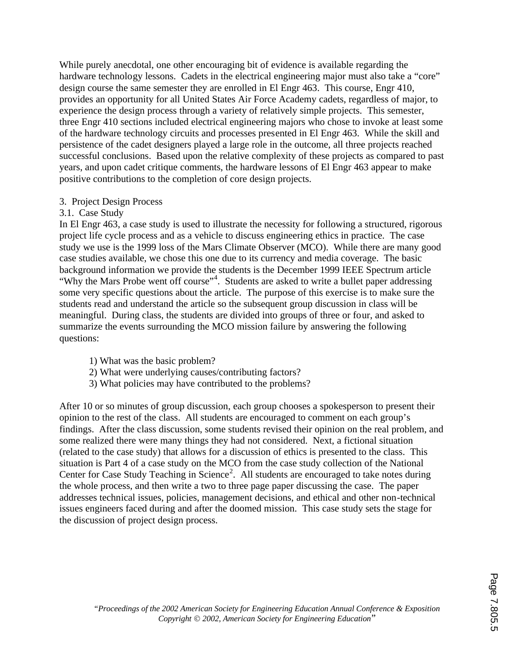While purely anecdotal, one other encouraging bit of evidence is available regarding the hardware technology lessons. Cadets in the electrical engineering major must also take a "core" design course the same semester they are enrolled in El Engr 463. This course, Engr 410, provides an opportunity for all United States Air Force Academy cadets, regardless of major, to experience the design process through a variety of relatively simple projects. This semester, three Engr 410 sections included electrical engineering majors who chose to invoke at least some of the hardware technology circuits and processes presented in El Engr 463. While the skill and persistence of the cadet designers played a large role in the outcome, all three projects reached successful conclusions. Based upon the relative complexity of these projects as compared to past years, and upon cadet critique comments, the hardware lessons of El Engr 463 appear to make positive contributions to the completion of core design projects.

### 3. Project Design Process

3.1. Case Study

In El Engr 463, a case study is used to illustrate the necessity for following a structured, rigorous project life cycle process and as a vehicle to discuss engineering ethics in practice. The case study we use is the 1999 loss of the Mars Climate Observer (MCO). While there are many good case studies available, we chose this one due to its currency and media coverage. The basic background information we provide the students is the December 1999 IEEE Spectrum article "Why the Mars Probe went off course"<sup>4</sup>. Students are asked to write a bullet paper addressing some very specific questions about the article. The purpose of this exercise is to make sure the students read and understand the article so the subsequent group discussion in class will be meaningful. During class, the students are divided into groups of three or four, and asked to summarize the events surrounding the MCO mission failure by answering the following questions:

- 1) What was the basic problem?
- 2) What were underlying causes/contributing factors?
- 3) What policies may have contributed to the problems?

After 10 or so minutes of group discussion, each group chooses a spokesperson to present their opinion to the rest of the class. All students are encouraged to comment on each group's findings. After the class discussion, some students revised their opinion on the real problem, and some realized there were many things they had not considered. Next, a fictional situation (related to the case study) that allows for a discussion of ethics is presented to the class. This situation is Part 4 of a case study on the MCO from the case study collection of the National Center for Case Study Teaching in Science<sup>2</sup>. All students are encouraged to take notes during the whole process, and then write a two to three page paper discussing the case. The paper addresses technical issues, policies, management decisions, and ethical and other non-technical issues engineers faced during and after the doomed mission. This case study sets the stage for the discussion of project design process.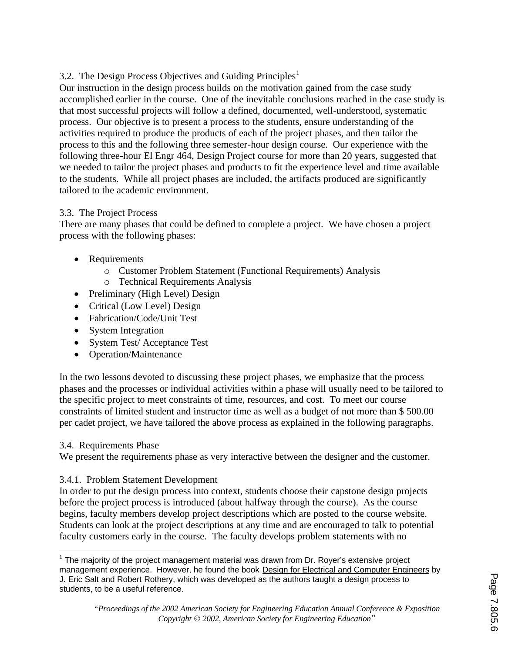# 3.2. The Design Process Objectives and Guiding Principles<sup>1</sup>

Our instruction in the design process builds on the motivation gained from the case study accomplished earlier in the course. One of the inevitable conclusions reached in the case study is that most successful projects will follow a defined, documented, well-understood, systematic process. Our objective is to present a process to the students, ensure understanding of the activities required to produce the products of each of the project phases, and then tailor the process to this and the following three semester-hour design course. Our experience with the following three-hour El Engr 464, Design Project course for more than 20 years, suggested that we needed to tailor the project phases and products to fit the experience level and time available to the students. While all project phases are included, the artifacts produced are significantly tailored to the academic environment.

# 3.3. The Project Process

There are many phases that could be defined to complete a project. We have chosen a project process with the following phases:

- Requirements
	- o Customer Problem Statement (Functional Requirements) Analysis
	- o Technical Requirements Analysis
- Preliminary (High Level) Design
- Critical (Low Level) Design
- Fabrication/Code/Unit Test
- System Integration
- · System Test/ Acceptance Test
- · Operation/Maintenance

In the two lessons devoted to discussing these project phases, we emphasize that the process phases and the processes or individual activities within a phase will usually need to be tailored to the specific project to meet constraints of time, resources, and cost. To meet our course constraints of limited student and instructor time as well as a budget of not more than \$ 500.00 per cadet project, we have tailored the above process as explained in the following paragraphs.

# 3.4. Requirements Phase

 $\overline{\phantom{a}}$ 

We present the requirements phase as very interactive between the designer and the customer.

# 3.4.1. Problem Statement Development

In order to put the design process into context, students choose their capstone design projects before the project process is introduced (about halfway through the course). As the course begins, faculty members develop project descriptions which are posted to the course website. Students can look at the project descriptions at any time and are encouraged to talk to potential faculty customers early in the course. The faculty develops problem statements with no

<sup>&</sup>lt;sup>1</sup> The majority of the project management material was drawn from Dr. Royer's extensive project management experience. However, he found the book Design for Electrical and Computer Engineers by J. Eric Salt and Robert Rothery, which was developed as the authors taught a design process to students, to be a useful reference.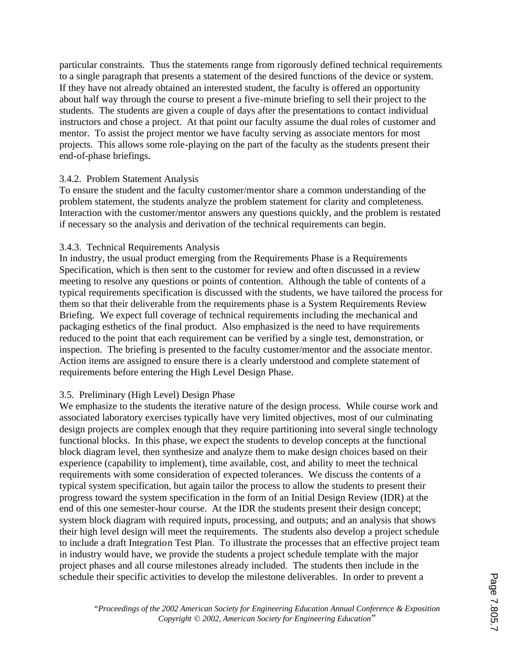particular constraints. Thus the statements range from rigorously defined technical requirements to a single paragraph that presents a statement of the desired functions of the device or system. If they have not already obtained an interested student, the faculty is offered an opportunity about half way through the course to present a five-minute briefing to sell their project to the students. The students are given a couple of days after the presentations to contact individual instructors and chose a project. At that point our faculty assume the dual roles of customer and mentor. To assist the project mentor we have faculty serving as associate mentors for most projects. This allows some role-playing on the part of the faculty as the students present their end-of-phase briefings.

### 3.4.2. Problem Statement Analysis

To ensure the student and the faculty customer/mentor share a common understanding of the problem statement, the students analyze the problem statement for clarity and completeness. Interaction with the customer/mentor answers any questions quickly, and the problem is restated if necessary so the analysis and derivation of the technical requirements can begin.

# 3.4.3. Technical Requirements Analysis

In industry, the usual product emerging from the Requirements Phase is a Requirements Specification, which is then sent to the customer for review and often discussed in a review meeting to resolve any questions or points of contention. Although the table of contents of a typical requirements specification is discussed with the students, we have tailored the process for them so that their deliverable from the requirements phase is a System Requirements Review Briefing. We expect full coverage of technical requirements including the mechanical and packaging esthetics of the final product. Also emphasized is the need to have requirements reduced to the point that each requirement can be verified by a single test, demonstration, or inspection. The briefing is presented to the faculty customer/mentor and the associate mentor. Action items are assigned to ensure there is a clearly understood and complete statement of requirements before entering the High Level Design Phase.

# 3.5. Preliminary (High Level) Design Phase

We emphasize to the students the iterative nature of the design process. While course work and associated laboratory exercises typically have very limited objectives, most of our culminating design projects are complex enough that they require partitioning into several single technology functional blocks. In this phase, we expect the students to develop concepts at the functional block diagram level, then synthesize and analyze them to make design choices based on their experience (capability to implement), time available, cost, and ability to meet the technical requirements with some consideration of expected tolerances. We discuss the contents of a typical system specification, but again tailor the process to allow the students to present their progress toward the system specification in the form of an Initial Design Review (IDR) at the end of this one semester-hour course. At the IDR the students present their design concept; system block diagram with required inputs, processing, and outputs; and an analysis that shows their high level design will meet the requirements. The students also develop a project schedule to include a draft Integration Test Plan. To illustrate the processes that an effective project team in industry would have, we provide the students a project schedule template with the major project phases and all course milestones already included. The students then include in the schedule their specific activities to develop the milestone deliverables. In order to prevent a

*"Proceedings of the 2002 American Society for Engineering Education Annual Conference & Exposition Copyright* Ó *2002, American Society for Engineering Education*"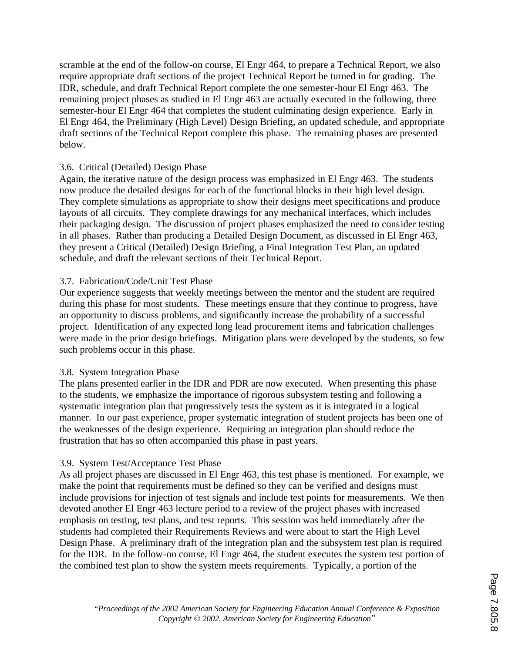scramble at the end of the follow-on course, El Engr 464, to prepare a Technical Report, we also require appropriate draft sections of the project Technical Report be turned in for grading. The IDR, schedule, and draft Technical Report complete the one semester-hour El Engr 463. The remaining project phases as studied in El Engr 463 are actually executed in the following, three semester-hour El Engr 464 that completes the student culminating design experience. Early in El Engr 464, the Preliminary (High Level) Design Briefing, an updated schedule, and appropriate draft sections of the Technical Report complete this phase. The remaining phases are presented below.

# 3.6. Critical (Detailed) Design Phase

Again, the iterative nature of the design process was emphasized in El Engr 463. The students now produce the detailed designs for each of the functional blocks in their high level design. They complete simulations as appropriate to show their designs meet specifications and produce layouts of all circuits. They complete drawings for any mechanical interfaces, which includes their packaging design. The discussion of project phases emphasized the need to consider testing in all phases. Rather than producing a Detailed Design Document, as discussed in El Engr 463, they present a Critical (Detailed) Design Briefing, a Final Integration Test Plan, an updated schedule, and draft the relevant sections of their Technical Report.

### 3.7. Fabrication/Code/Unit Test Phase

Our experience suggests that weekly meetings between the mentor and the student are required during this phase for most students. These meetings ensure that they continue to progress, have an opportunity to discuss problems, and significantly increase the probability of a successful project. Identification of any expected long lead procurement items and fabrication challenges were made in the prior design briefings. Mitigation plans were developed by the students, so few such problems occur in this phase.

#### 3.8. System Integration Phase

The plans presented earlier in the IDR and PDR are now executed. When presenting this phase to the students, we emphasize the importance of rigorous subsystem testing and following a systematic integration plan that progressively tests the system as it is integrated in a logical manner. In our past experience, proper systematic integration of student projects has been one of the weaknesses of the design experience. Requiring an integration plan should reduce the frustration that has so often accompanied this phase in past years.

#### 3.9. System Test/Acceptance Test Phase

As all project phases are discussed in El Engr 463, this test phase is mentioned. For example, we make the point that requirements must be defined so they can be verified and designs must include provisions for injection of test signals and include test points for measurements. We then devoted another El Engr 463 lecture period to a review of the project phases with increased emphasis on testing, test plans, and test reports. This session was held immediately after the students had completed their Requirements Reviews and were about to start the High Level Design Phase. A preliminary draft of the integration plan and the subsystem test plan is required for the IDR. In the follow-on course, El Engr 464, the student executes the system test portion of the combined test plan to show the system meets requirements. Typically, a portion of the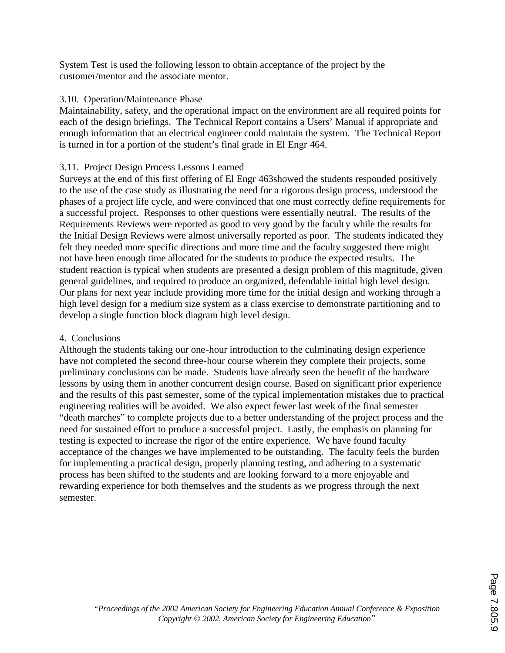System Test is used the following lesson to obtain acceptance of the project by the customer/mentor and the associate mentor.

## 3.10. Operation/Maintenance Phase

Maintainability, safety, and the operational impact on the environment are all required points for each of the design briefings. The Technical Report contains a Users' Manual if appropriate and enough information that an electrical engineer could maintain the system. The Technical Report is turned in for a portion of the student's final grade in El Engr 464.

# 3.11. Project Design Process Lessons Learned

Surveys at the end of this first offering of El Engr 463showed the students responded positively to the use of the case study as illustrating the need for a rigorous design process, understood the phases of a project life cycle, and were convinced that one must correctly define requirements for a successful project. Responses to other questions were essentially neutral. The results of the Requirements Reviews were reported as good to very good by the faculty while the results for the Initial Design Reviews were almost universally reported as poor. The students indicated they felt they needed more specific directions and more time and the faculty suggested there might not have been enough time allocated for the students to produce the expected results. The student reaction is typical when students are presented a design problem of this magnitude, given general guidelines, and required to produce an organized, defendable initial high level design. Our plans for next year include providing more time for the initial design and working through a high level design for a medium size system as a class exercise to demonstrate partitioning and to develop a single function block diagram high level design.

# 4. Conclusions

Although the students taking our one-hour introduction to the culminating design experience have not completed the second three-hour course wherein they complete their projects, some preliminary conclusions can be made. Students have already seen the benefit of the hardware lessons by using them in another concurrent design course. Based on significant prior experience and the results of this past semester, some of the typical implementation mistakes due to practical engineering realities will be avoided. We also expect fewer last week of the final semester "death marches" to complete projects due to a better understanding of the project process and the need for sustained effort to produce a successful project. Lastly, the emphasis on planning for testing is expected to increase the rigor of the entire experience. We have found faculty acceptance of the changes we have implemented to be outstanding. The faculty feels the burden for implementing a practical design, properly planning testing, and adhering to a systematic process has been shifted to the students and are looking forward to a more enjoyable and rewarding experience for both themselves and the students as we progress through the next semester.